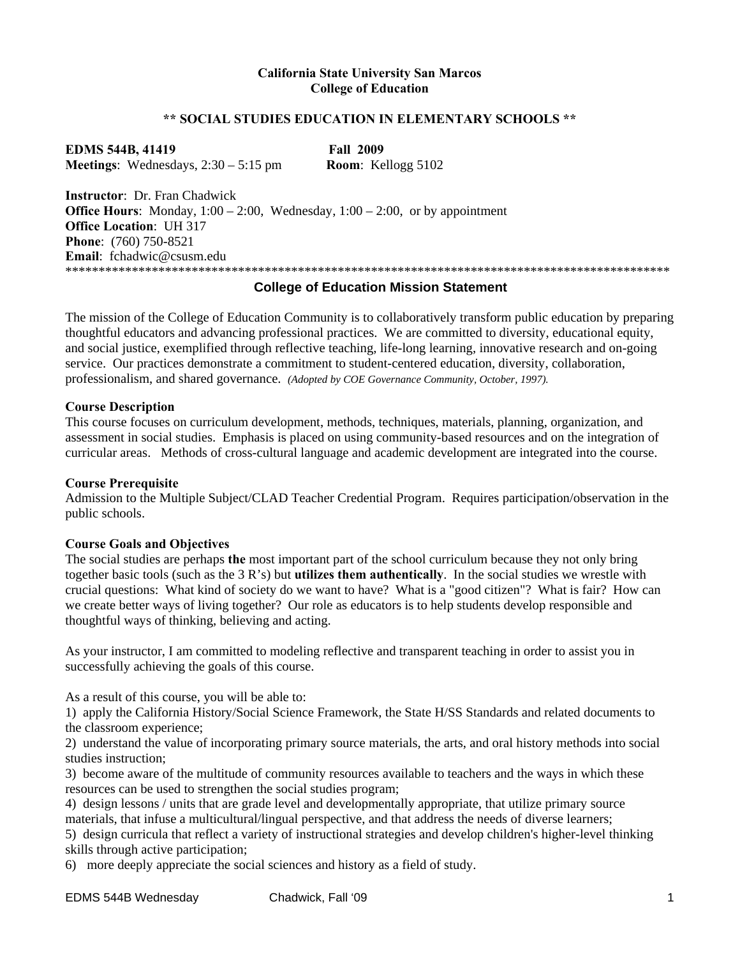#### **California State University San Marcos College of Education**

#### **\*\* SOCIAL STUDIES EDUCATION IN ELEMENTARY SCHOOLS \*\***

 **Meetings**: Wednesdays, 2:30 – 5:15 pm **Room**: Kellogg 5102 **EDMS 544B, 41419 Fall 2009** 

**Instructor**: Dr. Fran Chadwick **Office Hours**: Monday,  $1:00 - 2:00$ , Wednesday,  $1:00 - 2:00$ , or by appointment **Office Location**: UH 317 **Phone**: (760) 750-8521 **Email**: fchadwic@csusm.edu \*\*\*\*\*\*\*\*\*\*\*\*\*\*\*\*\*\*\*\*\*\*\*\*\*\*\*\*\*\*\*\*\*\*\*\*\*\*\*\*\*\*\*\*\*\*\*\*\*\*\*\*\*\*\*\*\*\*\*\*\*\*\*\*\*\*\*\*\*\*\*\*\*\*\*\*\*\*\*\*\*\*\*\*\*\*\*\*\*\*\*

#### **College of Education Mission Statement**

The mission of the College of Education Community is to collaboratively transform public education by preparing thoughtful educators and advancing professional practices. We are committed to diversity, educational equity, and social justice, exemplified through reflective teaching, life-long learning, innovative research and on-going service. Our practices demonstrate a commitment to student-centered education, diversity, collaboration, professionalism, and shared governance. *(Adopted by COE Governance Community, October, 1997).* 

#### **Course Description**

This course focuses on curriculum development, methods, techniques, materials, planning, organization, and assessment in social studies. Emphasis is placed on using community-based resources and on the integration of curricular areas. Methods of cross-cultural language and academic development are integrated into the course.

#### **Course Prerequisite**

Admission to the Multiple Subject/CLAD Teacher Credential Program. Requires participation/observation in the public schools.

#### **Course Goals and Objectives**

The social studies are perhaps **the** most important part of the school curriculum because they not only bring together basic tools (such as the 3 R's) but **utilizes them authentically**. In the social studies we wrestle with crucial questions: What kind of society do we want to have? What is a "good citizen"? What is fair? How can we create better ways of living together? Our role as educators is to help students develop responsible and thoughtful ways of thinking, believing and acting.

As your instructor, I am committed to modeling reflective and transparent teaching in order to assist you in successfully achieving the goals of this course.

As a result of this course, you will be able to:

1) apply the California History/Social Science Framework, the State H/SS Standards and related documents to the classroom experience;

2) understand the value of incorporating primary source materials, the arts, and oral history methods into social studies instruction;

3) become aware of the multitude of community resources available to teachers and the ways in which these resources can be used to strengthen the social studies program;

4) design lessons / units that are grade level and developmentally appropriate, that utilize primary source materials, that infuse a multicultural/lingual perspective, and that address the needs of diverse learners; 5) design curricula that reflect a variety of instructional strategies and develop children's higher-level thinking skills through active participation;

6) more deeply appreciate the social sciences and history as a field of study.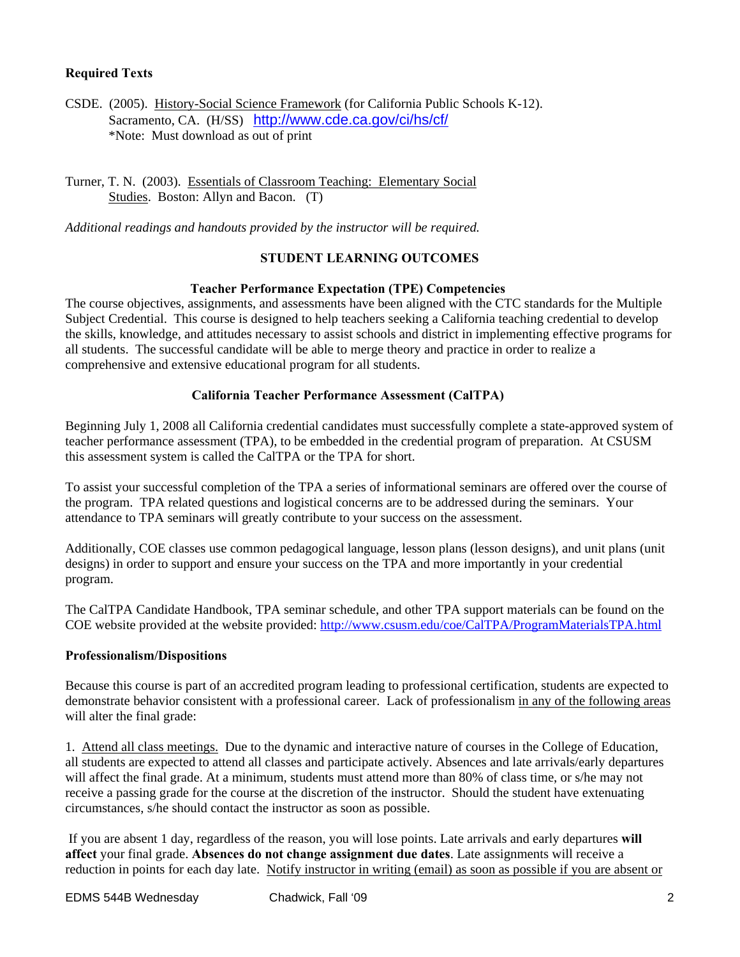#### **Required Texts**

CSDE. (2005). History-Social Science Framework (for California Public Schools K-12). Sacramento, CA. (H/SS) http://www.cde.ca.gov/ci/hs/cf/ \*Note: Must download as out of print

Turner, T. N. (2003). Essentials of Classroom Teaching: Elementary Social Studies. Boston: Allyn and Bacon. (T)

*Additional readings and handouts provided by the instructor will be required.* 

#### **STUDENT LEARNING OUTCOMES**

#### **Teacher Performance Expectation (TPE) Competencies**

The course objectives, assignments, and assessments have been aligned with the CTC standards for the Multiple Subject Credential. This course is designed to help teachers seeking a California teaching credential to develop the skills, knowledge, and attitudes necessary to assist schools and district in implementing effective programs for all students. The successful candidate will be able to merge theory and practice in order to realize a comprehensive and extensive educational program for all students.

#### **California Teacher Performance Assessment (CalTPA)**

Beginning July 1, 2008 all California credential candidates must successfully complete a state-approved system of teacher performance assessment (TPA), to be embedded in the credential program of preparation. At CSUSM this assessment system is called the CalTPA or the TPA for short.

To assist your successful completion of the TPA a series of informational seminars are offered over the course of the program. TPA related questions and logistical concerns are to be addressed during the seminars. Your attendance to TPA seminars will greatly contribute to your success on the assessment.

Additionally, COE classes use common pedagogical language, lesson plans (lesson designs), and unit plans (unit designs) in order to support and ensure your success on the TPA and more importantly in your credential program.

The CalTPA Candidate Handbook, TPA seminar schedule, and other TPA support materials can be found on the COE website provided at the website provided: http://www.csusm.edu/coe/CalTPA/ProgramMaterialsTPA.html

#### **Professionalism/Dispositions**

Because this course is part of an accredited program leading to professional certification, students are expected to demonstrate behavior consistent with a professional career. Lack of professionalism in any of the following areas will alter the final grade:

1. Attend all class meetings. Due to the dynamic and interactive nature of courses in the College of Education, all students are expected to attend all classes and participate actively. Absences and late arrivals/early departures will affect the final grade. At a minimum, students must attend more than 80% of class time, or s/he may not receive a passing grade for the course at the discretion of the instructor. Should the student have extenuating circumstances, s/he should contact the instructor as soon as possible.

 If you are absent 1 day, regardless of the reason, you will lose points. Late arrivals and early departures **will affect** your final grade. **Absences do not change assignment due dates**. Late assignments will receive a reduction in points for each day late. Notify instructor in writing (email) as soon as possible if you are absent or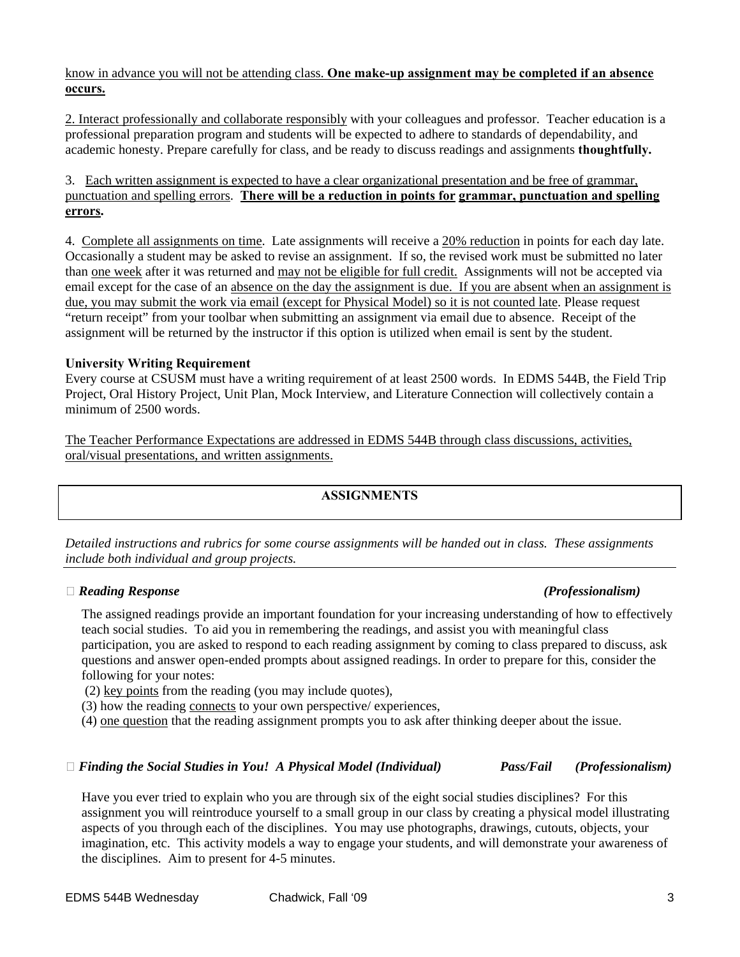#### know in advance you will not be attending class. **One make-up assignment may be completed if an absence occurs.**

2. Interact professionally and collaborate responsibly with your colleagues and professor. Teacher education is a professional preparation program and students will be expected to adhere to standards of dependability, and academic honesty. Prepare carefully for class, and be ready to discuss readings and assignments **thoughtfully.** 

#### 3. Each written assignment is expected to have a clear organizational presentation and be free of grammar, punctuation and spelling errors. **There will be a reduction in points for grammar, punctuation and spelling errors.**

4. Complete all assignments on time. Late assignments will receive a 20% reduction in points for each day late. Occasionally a student may be asked to revise an assignment. If so, the revised work must be submitted no later than one week after it was returned and may not be eligible for full credit. Assignments will not be accepted via email except for the case of an absence on the day the assignment is due. If you are absent when an assignment is due, you may submit the work via email (except for Physical Model) so it is not counted late. Please request "return receipt" from your toolbar when submitting an assignment via email due to absence. Receipt of the assignment will be returned by the instructor if this option is utilized when email is sent by the student.

#### **University Writing Requirement**

Every course at CSUSM must have a writing requirement of at least 2500 words. In EDMS 544B, the Field Trip Project, Oral History Project, Unit Plan, Mock Interview, and Literature Connection will collectively contain a minimum of 2500 words.

The Teacher Performance Expectations are addressed in EDMS 544B through class discussions, activities, oral/visual presentations, and written assignments.

#### **ASSIGNMENTS**

*Detailed instructions and rubrics for some course assignments will be handed out in class. These assignments include both individual and group projects.* 

#### **�** *Reading Response (Professionalism)*

The assigned readings provide an important foundation for your increasing understanding of how to effectively teach social studies. To aid you in remembering the readings, and assist you with meaningful class participation, you are asked to respond to each reading assignment by coming to class prepared to discuss, ask questions and answer open-ended prompts about assigned readings. In order to prepare for this, consider the following for your notes:

(2) key points from the reading (you may include quotes),

(3) how the reading connects to your own perspective/ experiences,

(4) one question that the reading assignment prompts you to ask after thinking deeper about the issue.

#### **�** *Finding the Social Studies in You! A Physical Model (Individual) Pass/Fail (Professionalism)*

Have you ever tried to explain who you are through six of the eight social studies disciplines? For this assignment you will reintroduce yourself to a small group in our class by creating a physical model illustrating aspects of you through each of the disciplines. You may use photographs, drawings, cutouts, objects, your imagination, etc. This activity models a way to engage your students, and will demonstrate your awareness of the disciplines. Aim to present for 4-5 minutes.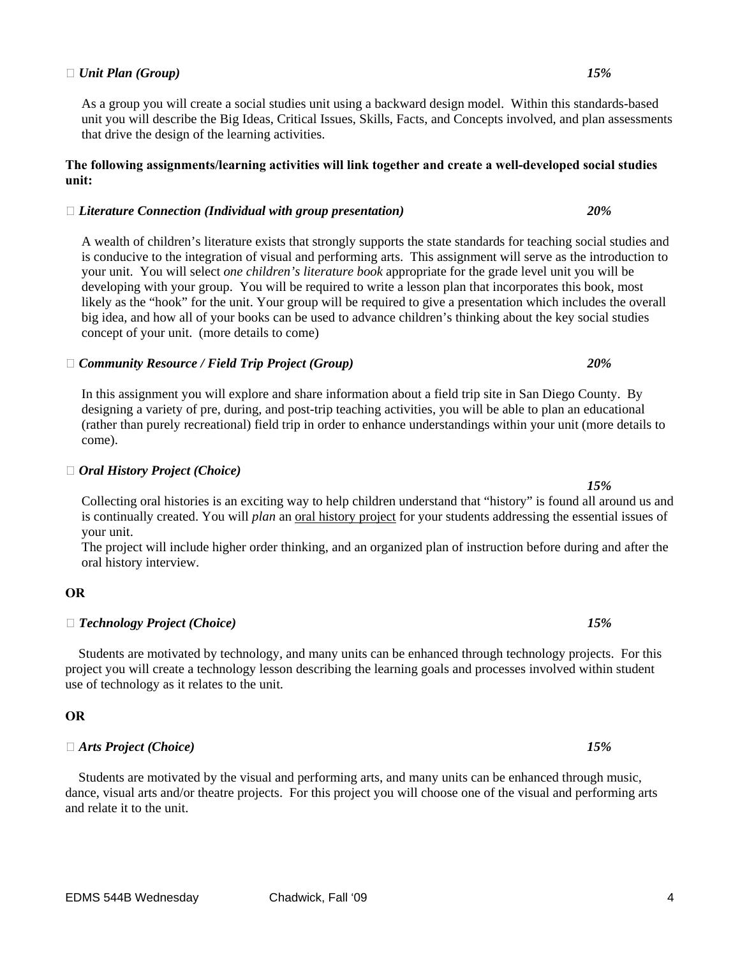#### $\Box$  *Unit Plan (Group)*  $15\%$

As a group you will create a social studies unit using a backward design model. Within this standards-based unit you will describe the Big Ideas, Critical Issues, Skills, Facts, and Concepts involved, and plan assessments that drive the design of the learning activities.

#### **The following assignments/learning activities will link together and create a well-developed social studies unit:**

#### **�** *Literature Connection (Individual with group presentation) 20%*

A wealth of children's literature exists that strongly supports the state standards for teaching social studies and is conducive to the integration of visual and performing arts. This assignment will serve as the introduction to your unit. You will select *one children's literature book* appropriate for the grade level unit you will be developing with your group. You will be required to write a lesson plan that incorporates this book, most likely as the "hook" for the unit. Your group will be required to give a presentation which includes the overall big idea, and how all of your books can be used to advance children's thinking about the key social studies concept of your unit. (more details to come)

#### **�** *Community Resource / Field Trip Project (Group) 20%*

In this assignment you will explore and share information about a field trip site in San Diego County. By designing a variety of pre, during, and post-trip teaching activities, you will be able to plan an educational (rather than purely recreational) field trip in order to enhance understandings within your unit (more details to come).

#### **�** *Oral History Project (Choice)*

Collecting oral histories is an exciting way to help children understand that "history" is found all around us and is continually created. You will *plan* an oral history project for your students addressing the essential issues of your unit.

The project will include higher order thinking, and an organized plan of instruction before during and after the oral history interview.

#### 

# **OR �** *Technology Project (Choice) 15%*

 Students are motivated by technology, and many units can be enhanced through technology projects. For this project you will create a technology lesson describing the learning goals and processes involved within student use of technology as it relates to the unit.

#### 

## □ Arts Project (Choice) **OR �** *Arts Project (Choice) 15%*

 Students are motivated by the visual and performing arts, and many units can be enhanced through music, dance, visual arts and/or theatre projects. For this project you will choose one of the visual and performing arts and relate it to the unit.

 *15%*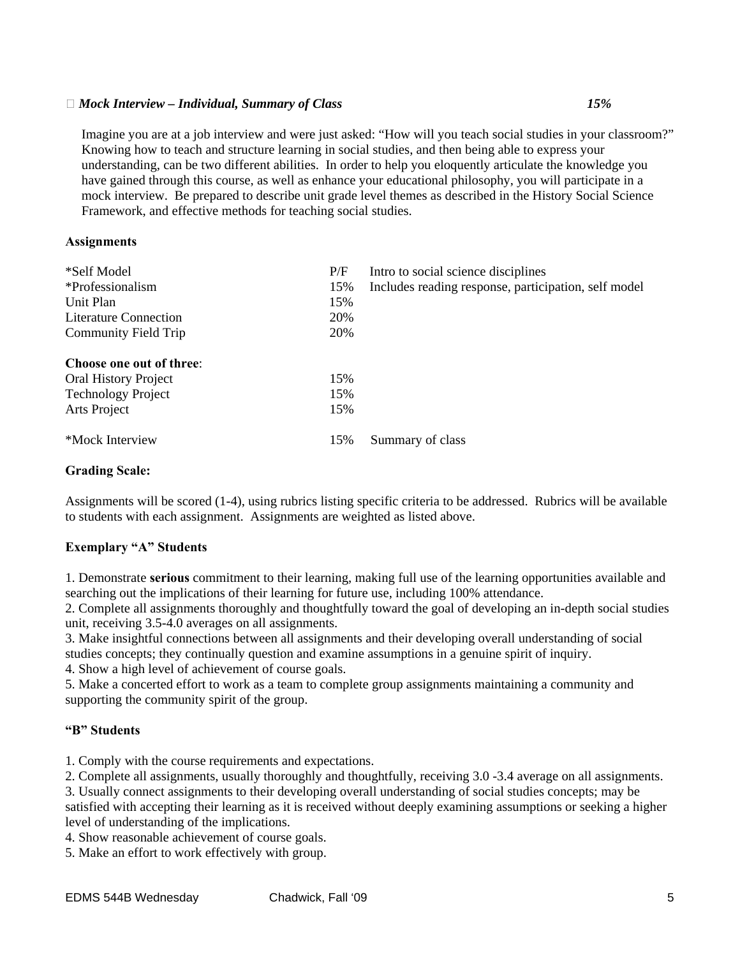#### **�** *Mock Interview – Individual, Summary of Class 15%*

Imagine you are at a job interview and were just asked: "How will you teach social studies in your classroom?"<br>Knowing how to teach and structure learning in social studies, and then being able to express your understanding, can be two different abilities. In order to help you eloquently articulate the knowledge you have gained through this course, as well as enhance your educational philosophy, you will participate in a mock interview. Be prepared to describe unit grade level themes as described in the History Social Science Framework, and effective methods for teaching social studies.

#### **Assignments**

| *Self Model                 | P/F | Intro to social science disciplines                  |
|-----------------------------|-----|------------------------------------------------------|
| *Professionalism            | 15% | Includes reading response, participation, self model |
| Unit Plan                   | 15% |                                                      |
| Literature Connection       | 20% |                                                      |
| Community Field Trip        | 20% |                                                      |
| Choose one out of three:    |     |                                                      |
|                             |     |                                                      |
| <b>Oral History Project</b> | 15% |                                                      |
| <b>Technology Project</b>   | 15% |                                                      |
| Arts Project                | 15% |                                                      |
| *Mock Interview             | 15% | Summary of class                                     |

#### **Grading Scale:**

Assignments will be scored (1-4), using rubrics listing specific criteria to be addressed. Rubrics will be available to students with each assignment. Assignments are weighted as listed above.

#### **Exemplary "A" Students**

1. Demonstrate **serious** commitment to their learning, making full use of the learning opportunities available and searching out the implications of their learning for future use, including 100% attendance.

2. Complete all assignments thoroughly and thoughtfully toward the goal of developing an in-depth social studies unit, receiving 3.5-4.0 averages on all assignments.

3. Make insightful connections between all assignments and their developing overall understanding of social studies concepts; they continually question and examine assumptions in a genuine spirit of inquiry.

4. Show a high level of achievement of course goals.

5. Make a concerted effort to work as a team to complete group assignments maintaining a community and supporting the community spirit of the group.

#### **"B" Students**

1. Comply with the course requirements and expectations.

2. Complete all assignments, usually thoroughly and thoughtfully, receiving 3.0 -3.4 average on all assignments.

3. Usually connect assignments to their developing overall understanding of social studies concepts; may be satisfied with accepting their learning as it is received without deeply examining assumptions or seeking a higher level of understanding of the implications.

4. Show reasonable achievement of course goals.

5. Make an effort to work effectively with group.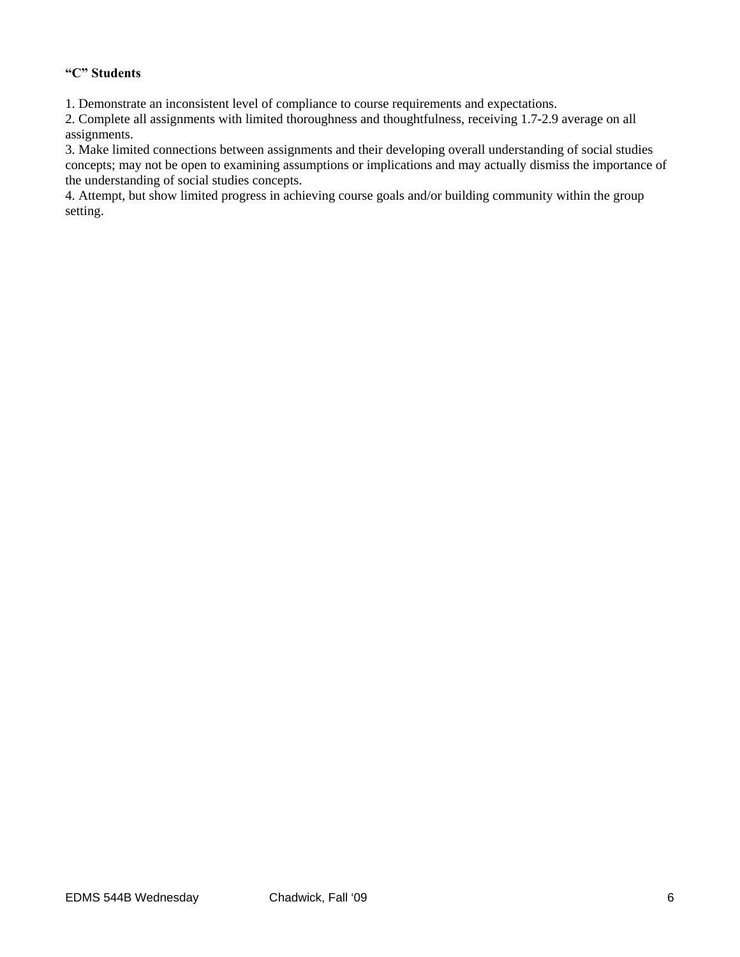#### **"C" Students**

1. Demonstrate an inconsistent level of compliance to course requirements and expectations.

2. Complete all assignments with limited thoroughness and thoughtfulness, receiving 1.7-2.9 average on all assignments.

3. Make limited connections between assignments and their developing overall understanding of social studies concepts; may not be open to examining assumptions or implications and may actually dismiss the importance of the understanding of social studies concepts.

4. Attempt, but show limited progress in achieving course goals and/or building community within the group setting.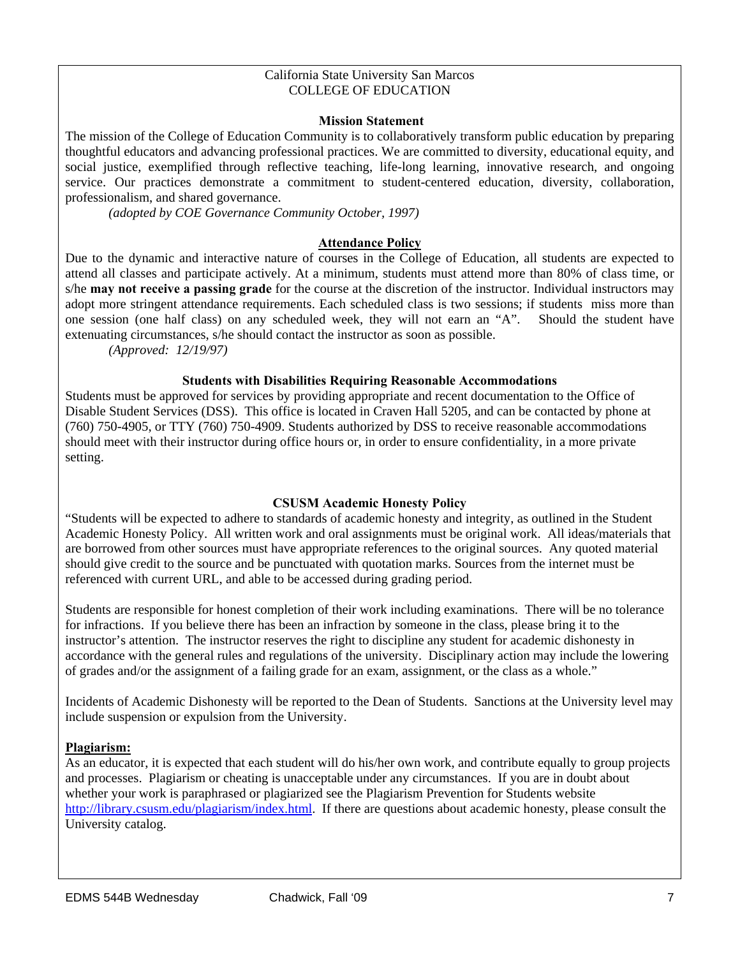#### California State University San Marcos COLLEGE OF EDUCATION

#### **Mission Statement**

The mission of the College of Education Community is to collaboratively transform public education by preparing thoughtful educators and advancing professional practices. We are committed to diversity, educational equity, and social justice, exemplified through reflective teaching, life-long learning, innovative research, and ongoing service. Our practices demonstrate a commitment to student-centered education, diversity, collaboration, professionalism, and shared governance.

*(adopted by COE Governance Community October, 1997)* 

#### **Attendance Policy**

Due to the dynamic and interactive nature of courses in the College of Education, all students are expected to attend all classes and participate actively. At a minimum, students must attend more than 80% of class time, or s/he **may not receive a passing grade** for the course at the discretion of the instructor. Individual instructors may adopt more stringent attendance requirements. Each scheduled class is two sessions; if students miss more than one session (one half class) on any scheduled week, they will not earn an "A". Should the student have extenuating circumstances, s/he should contact the instructor as soon as possible.

*(Approved: 12/19/97)* 

#### **Students with Disabilities Requiring Reasonable Accommodations**

Students must be approved for services by providing appropriate and recent documentation to the Office of Disable Student Services (DSS). This office is located in Craven Hall 5205, and can be contacted by phone at (760) 750-4905, or TTY (760) 750-4909. Students authorized by DSS to receive reasonable accommodations should meet with their instructor during office hours or, in order to ensure confidentiality, in a more private setting.

#### **CSUSM Academic Honesty Policy**

"Students will be expected to adhere to standards of academic honesty and integrity, as outlined in the Student Academic Honesty Policy. All written work and oral assignments must be original work. All ideas/materials that are borrowed from other sources must have appropriate references to the original sources. Any quoted material should give credit to the source and be punctuated with quotation marks. Sources from the internet must be referenced with current URL, and able to be accessed during grading period.

Students are responsible for honest completion of their work including examinations. There will be no tolerance for infractions. If you believe there has been an infraction by someone in the class, please bring it to the instructor's attention. The instructor reserves the right to discipline any student for academic dishonesty in accordance with the general rules and regulations of the university. Disciplinary action may include the lowering of grades and/or the assignment of a failing grade for an exam, assignment, or the class as a whole."

Incidents of Academic Dishonesty will be reported to the Dean of Students. Sanctions at the University level may include suspension or expulsion from the University.

#### **Plagiarism:**

As an educator, it is expected that each student will do his/her own work, and contribute equally to group projects and processes. Plagiarism or cheating is unacceptable under any circumstances. If you are in doubt about whether your work is paraphrased or plagiarized see the Plagiarism Prevention for Students website http://library.csusm.edu/plagiarism/index.html. If there are questions about academic honesty, please consult the University catalog.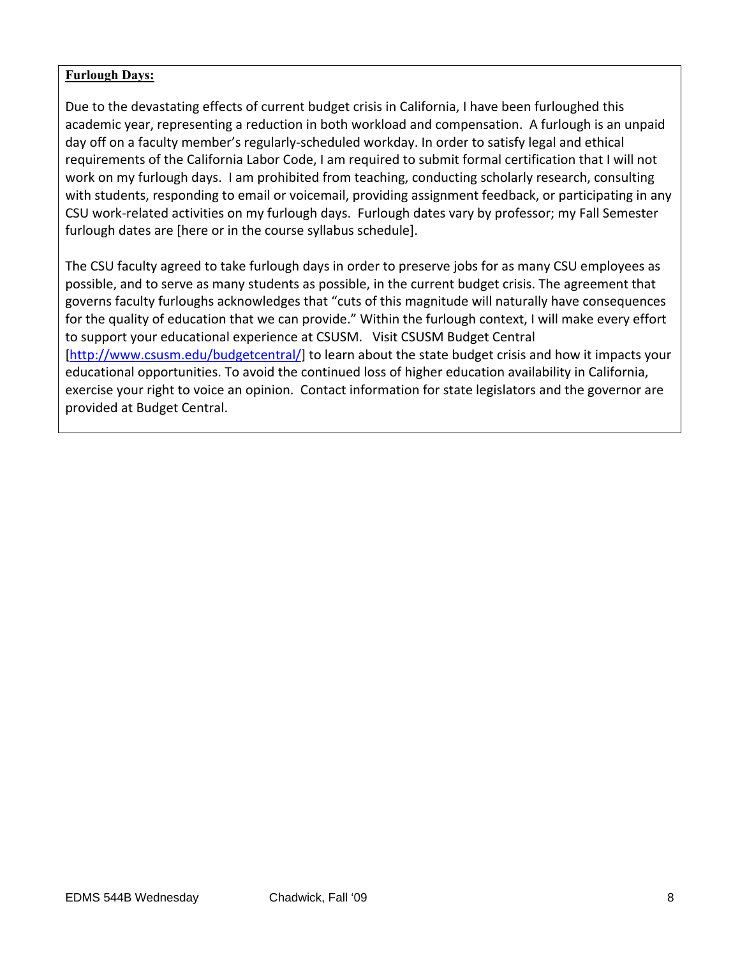#### **Furlough Days:**

 Due to the devastating effects of current budget crisis in California, I have been furloughed this academic year, representing a reduction in both workload and compensation. A furlough is an unpaid day off on a faculty member's regularly‐scheduled workday. In order to satisfy legal and ethical requirements of the California Labor Code, I am required to submit formal certification that I will not work on my furlough days. I am prohibited from teaching, conducting scholarly research, consulting with students, responding to email or voicemail, providing assignment feedback, or participating in any CSU work‐related activities on my furlough days. Furlough dates vary by professor; my Fall Semester furlough dates are [here or in the course syllabus schedule].

 The CSU faculty agreed to take furlough days in order to preserve jobs for as many CSU employees as possible, and to serve as many students as possible, in the current budget crisis. The agreement that governs faculty furloughs acknowledges that "cuts of this magnitude will naturally have consequences for the quality of education that we can provide." Within the furlough context, I will make every effort to support your educational experience at CSUSM. Visit CSUSM Budget Central [http://www.csusm.edu/budgetcentral/] to learn about the state budget crisis and how it impacts your educational opportunities. To avoid the continued loss of higher education availability in California, exercise your right to voice an opinion. Contact information for state legislators and the governor are provided at Budget Central.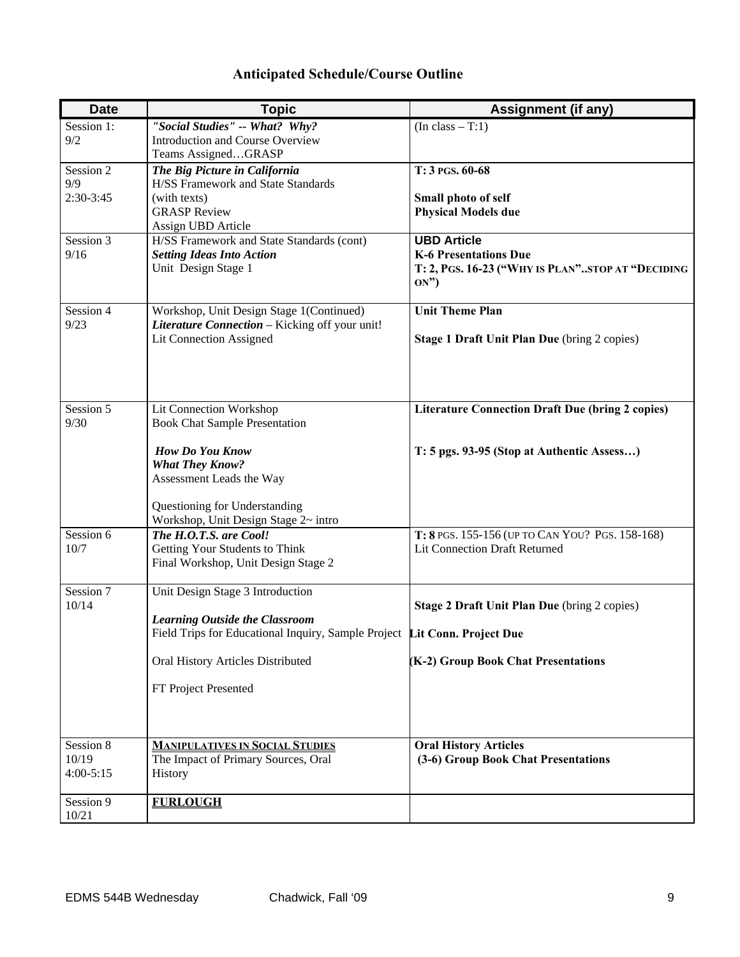### **Anticipated Schedule/Course Outline**

| <b>Date</b>            | <b>Topic</b>                                                              | <b>Assignment (if any)</b>                              |
|------------------------|---------------------------------------------------------------------------|---------------------------------------------------------|
| Session 1:             | "Social Studies" -- What? Why?                                            | $(In class - T:1)$                                      |
| 9/2                    | Introduction and Course Overview                                          |                                                         |
|                        | Teams AssignedGRASP                                                       |                                                         |
| Session 2              | The Big Picture in California                                             | T: 3 PGS. 60-68                                         |
| 9/9                    | <b>H/SS Framework and State Standards</b>                                 |                                                         |
| 2:30-3:45              | (with texts)                                                              | Small photo of self                                     |
|                        | <b>GRASP Review</b>                                                       | <b>Physical Models due</b>                              |
| Session 3              | Assign UBD Article<br>H/SS Framework and State Standards (cont)           | <b>UBD Article</b>                                      |
| 9/16                   | <b>Setting Ideas Into Action</b>                                          | <b>K-6 Presentations Due</b>                            |
|                        | Unit Design Stage 1                                                       | T: 2, PGS. 16-23 ("WHY IS PLAN"STOP AT "DECIDING        |
|                        |                                                                           | ON")                                                    |
|                        |                                                                           |                                                         |
| Session 4              | Workshop, Unit Design Stage 1(Continued)                                  | <b>Unit Theme Plan</b>                                  |
| 9/23                   | Literature Connection - Kicking off your unit!                            |                                                         |
|                        | Lit Connection Assigned                                                   | Stage 1 Draft Unit Plan Due (bring 2 copies)            |
|                        |                                                                           |                                                         |
|                        |                                                                           |                                                         |
|                        |                                                                           |                                                         |
| Session 5              | Lit Connection Workshop                                                   | <b>Literature Connection Draft Due (bring 2 copies)</b> |
| 9/30                   | <b>Book Chat Sample Presentation</b>                                      |                                                         |
|                        |                                                                           |                                                         |
|                        | <b>How Do You Know</b>                                                    | T: 5 pgs. 93-95 (Stop at Authentic Assess)              |
|                        | <b>What They Know?</b>                                                    |                                                         |
|                        | Assessment Leads the Way                                                  |                                                         |
|                        |                                                                           |                                                         |
|                        | Questioning for Understanding<br>Workshop, Unit Design Stage 2~ intro     |                                                         |
| Session 6              | The H.O.T.S. are Cool!                                                    | T: 8 PGS. 155-156 (UP TO CAN YOU? PGS. 158-168)         |
| 10/7                   | Getting Your Students to Think                                            | <b>Lit Connection Draft Returned</b>                    |
|                        | Final Workshop, Unit Design Stage 2                                       |                                                         |
|                        |                                                                           |                                                         |
| Session $\overline{7}$ | Unit Design Stage 3 Introduction                                          |                                                         |
| 10/14                  |                                                                           | Stage 2 Draft Unit Plan Due (bring 2 copies)            |
|                        | <b>Learning Outside the Classroom</b>                                     |                                                         |
|                        | Field Trips for Educational Inquiry, Sample Project Lit Conn. Project Due |                                                         |
|                        | Oral History Articles Distributed                                         | (K-2) Group Book Chat Presentations                     |
|                        |                                                                           |                                                         |
|                        | FT Project Presented                                                      |                                                         |
|                        |                                                                           |                                                         |
|                        |                                                                           |                                                         |
|                        |                                                                           |                                                         |
| Session 8              | <b>MANIPULATIVES IN SOCIAL STUDIES</b>                                    | <b>Oral History Articles</b>                            |
| 10/19<br>$4:00 - 5:15$ | The Impact of Primary Sources, Oral                                       | (3-6) Group Book Chat Presentations                     |
|                        | History                                                                   |                                                         |
| Session 9              | <b>FURLOUGH</b>                                                           |                                                         |
| 10/21                  |                                                                           |                                                         |